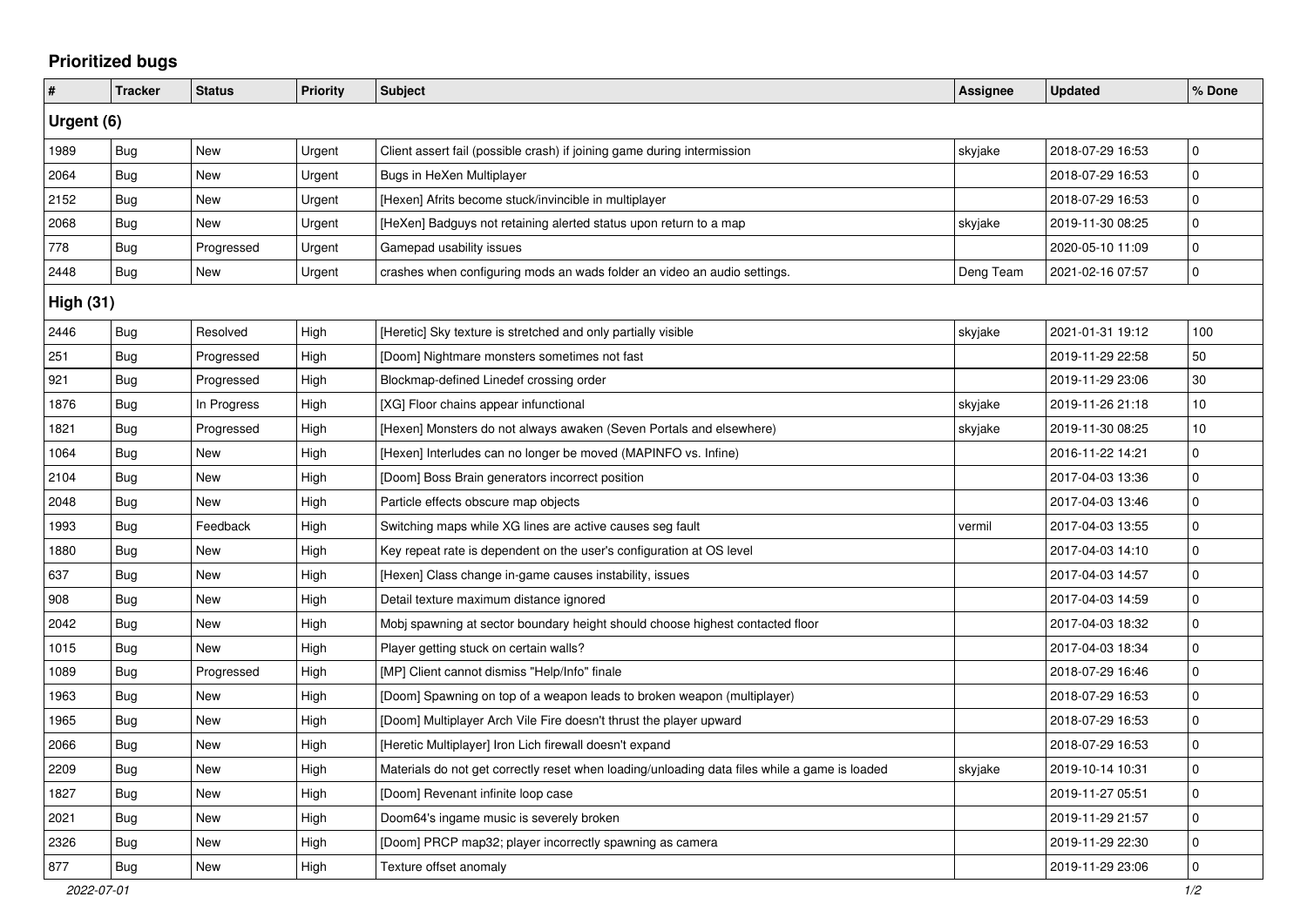## **Prioritized bugs**

| #                | <b>Tracker</b> | <b>Status</b> | <b>Priority</b> | <b>Subject</b>                                                                                | Assignee  | <b>Updated</b>   | % Done      |  |  |  |
|------------------|----------------|---------------|-----------------|-----------------------------------------------------------------------------------------------|-----------|------------------|-------------|--|--|--|
| Urgent (6)       |                |               |                 |                                                                                               |           |                  |             |  |  |  |
| 1989             | Bug            | New           | Urgent          | Client assert fail (possible crash) if joining game during intermission                       | skyjake   | 2018-07-29 16:53 | $\pmb{0}$   |  |  |  |
| 2064             | Bug            | New           | Urgent          | Bugs in HeXen Multiplayer                                                                     |           | 2018-07-29 16:53 | $\mathbf 0$ |  |  |  |
| 2152             | Bug            | New           | Urgent          | [Hexen] Afrits become stuck/invincible in multiplayer                                         |           | 2018-07-29 16:53 | $\mathbf 0$ |  |  |  |
| 2068             | Bug            | New           | Urgent          | [HeXen] Badguys not retaining alerted status upon return to a map                             | skyjake   | 2019-11-30 08:25 | $\mathbf 0$ |  |  |  |
| 778              | Bug            | Progressed    | Urgent          | Gamepad usability issues                                                                      |           | 2020-05-10 11:09 | $\pmb{0}$   |  |  |  |
| 2448             | Bug            | New           | Urgent          | crashes when configuring mods an wads folder an video an audio settings.                      | Deng Team | 2021-02-16 07:57 | $\mathbf 0$ |  |  |  |
| <b>High (31)</b> |                |               |                 |                                                                                               |           |                  |             |  |  |  |
| 2446             | <b>Bug</b>     | Resolved      | High            | [Heretic] Sky texture is stretched and only partially visible                                 | skyjake   | 2021-01-31 19:12 | 100         |  |  |  |
| 251              | <b>Bug</b>     | Progressed    | High            | [Doom] Nightmare monsters sometimes not fast                                                  |           | 2019-11-29 22:58 | 50          |  |  |  |
| 921              | <b>Bug</b>     | Progressed    | High            | Blockmap-defined Linedef crossing order                                                       |           | 2019-11-29 23:06 | 30          |  |  |  |
| 1876             | Bug            | In Progress   | High            | [XG] Floor chains appear infunctional                                                         | skyjake   | 2019-11-26 21:18 | 10          |  |  |  |
| 1821             | <b>Bug</b>     | Progressed    | High            | [Hexen] Monsters do not always awaken (Seven Portals and elsewhere)                           | skyjake   | 2019-11-30 08:25 | 10          |  |  |  |
| 1064             | Bug            | New           | High            | [Hexen] Interludes can no longer be moved (MAPINFO vs. Infine)                                |           | 2016-11-22 14:21 | $\mathbf 0$ |  |  |  |
| 2104             | <b>Bug</b>     | New           | High            | [Doom] Boss Brain generators incorrect position                                               |           | 2017-04-03 13:36 | $\mathbf 0$ |  |  |  |
| 2048             | Bug            | New           | High            | Particle effects obscure map objects                                                          |           | 2017-04-03 13:46 | $\mathbf 0$ |  |  |  |
| 1993             | Bug            | Feedback      | High            | Switching maps while XG lines are active causes seg fault                                     | vermil    | 2017-04-03 13:55 | $\mathbf 0$ |  |  |  |
| 1880             | Bug            | New           | High            | Key repeat rate is dependent on the user's configuration at OS level                          |           | 2017-04-03 14:10 | $\mathbf 0$ |  |  |  |
| 637              | <b>Bug</b>     | <b>New</b>    | High            | [Hexen] Class change in-game causes instability, issues                                       |           | 2017-04-03 14:57 | $\mathbf 0$ |  |  |  |
| 908              | Bug            | New           | High            | Detail texture maximum distance ignored                                                       |           | 2017-04-03 14:59 | $\pmb{0}$   |  |  |  |
| 2042             | <b>Bug</b>     | <b>New</b>    | High            | Mobj spawning at sector boundary height should choose highest contacted floor                 |           | 2017-04-03 18:32 | $\mathbf 0$ |  |  |  |
| 1015             | Bug            | <b>New</b>    | High            | Player getting stuck on certain walls?                                                        |           | 2017-04-03 18:34 | $\mathbf 0$ |  |  |  |
| 1089             | Bug            | Progressed    | High            | [MP] Client cannot dismiss "Help/Info" finale                                                 |           | 2018-07-29 16:46 | $\mathbf 0$ |  |  |  |
| 1963             | <b>Bug</b>     | <b>New</b>    | High            | [Doom] Spawning on top of a weapon leads to broken weapon (multiplayer)                       |           | 2018-07-29 16:53 | $\pmb{0}$   |  |  |  |
| 1965             | Bug            | <b>New</b>    | High            | [Doom] Multiplayer Arch Vile Fire doesn't thrust the player upward                            |           | 2018-07-29 16:53 | $\mathbf 0$ |  |  |  |
| 2066             | Bug            | New           | High            | [Heretic Multiplayer] Iron Lich firewall doesn't expand                                       |           | 2018-07-29 16:53 | $\pmb{0}$   |  |  |  |
| 2209             | Bug            | New           | High            | Materials do not get correctly reset when loading/unloading data files while a game is loaded | skyjake   | 2019-10-14 10:31 | $\mathbf 0$ |  |  |  |
| 1827             | Bug            | New           | High            | [Doom] Revenant infinite loop case                                                            |           | 2019-11-27 05:51 | $\mathbf 0$ |  |  |  |
| 2021             | Bug            | New           | High            | Doom64's ingame music is severely broken                                                      |           | 2019-11-29 21:57 | $\mathbf 0$ |  |  |  |
| 2326             | <b>Bug</b>     | New           | High            | [Doom] PRCP map32; player incorrectly spawning as camera                                      |           | 2019-11-29 22:30 | $\mathbf 0$ |  |  |  |
| 877              | Bug            | New           | High            | Texture offset anomaly                                                                        |           | 2019-11-29 23:06 | $\mathbf 0$ |  |  |  |